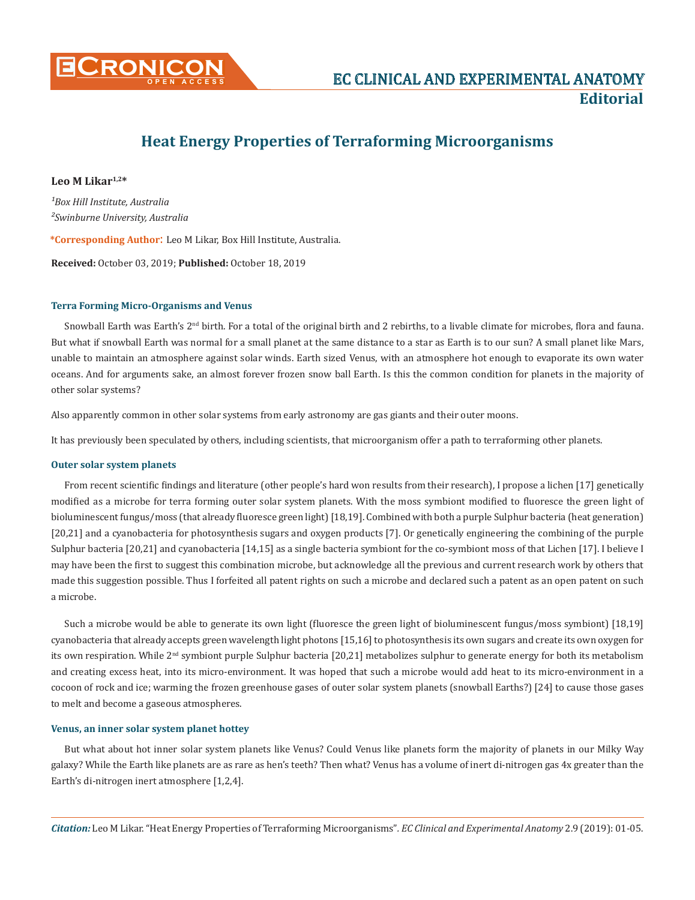

# **Heat Energy Properties of Terraforming Microorganisms**

## **Leo M Likar1,2\***

*¹Box Hill Institute, Australia ²Swinburne University, Australia*

**\*Corresponding Author**: Leo M Likar, Box Hill Institute, Australia.

**Received:** October 03, 2019; **Published:** October 18, 2019

## **Terra Forming Micro-Organisms and Venus**

Snowball Earth was Earth's 2<sup>nd</sup> birth. For a total of the original birth and 2 rebirths, to a livable climate for microbes, flora and fauna. But what if snowball Earth was normal for a small planet at the same distance to a star as Earth is to our sun? A small planet like Mars, unable to maintain an atmosphere against solar winds. Earth sized Venus, with an atmosphere hot enough to evaporate its own water oceans. And for arguments sake, an almost forever frozen snow ball Earth. Is this the common condition for planets in the majority of other solar systems?

Also apparently common in other solar systems from early astronomy are gas giants and their outer moons.

It has previously been speculated by others, including scientists, that microorganism offer a path to terraforming other planets.

## **Outer solar system planets**

From recent scientific findings and literature (other people's hard won results from their research), I propose a lichen [17] genetically modified as a microbe for terra forming outer solar system planets. With the moss symbiont modified to fluoresce the green light of bioluminescent fungus/moss (that already fluoresce green light) [18,19]. Combined with both a purple Sulphur bacteria (heat generation) [20,21] and a cyanobacteria for photosynthesis sugars and oxygen products [7]. Or genetically engineering the combining of the purple Sulphur bacteria [20,21] and cyanobacteria [14,15] as a single bacteria symbiont for the co-symbiont moss of that Lichen [17]. I believe I may have been the first to suggest this combination microbe, but acknowledge all the previous and current research work by others that made this suggestion possible. Thus I forfeited all patent rights on such a microbe and declared such a patent as an open patent on such a microbe.

Such a microbe would be able to generate its own light (fluoresce the green light of bioluminescent fungus/moss symbiont) [18,19] cyanobacteria that already accepts green wavelength light photons [15,16] to photosynthesis its own sugars and create its own oxygen for its own respiration. While 2<sup>nd</sup> symbiont purple Sulphur bacteria [20,21] metabolizes sulphur to generate energy for both its metabolism and creating excess heat, into its micro-environment. It was hoped that such a microbe would add heat to its micro-environment in a cocoon of rock and ice; warming the frozen greenhouse gases of outer solar system planets (snowball Earths?) [24] to cause those gases to melt and become a gaseous atmospheres.

#### **Venus, an inner solar system planet hottey**

But what about hot inner solar system planets like Venus? Could Venus like planets form the majority of planets in our Milky Way galaxy? While the Earth like planets are as rare as hen's teeth? Then what? Venus has a volume of inert di-nitrogen gas 4x greater than the Earth's di-nitrogen inert atmosphere [1,2,4].

*Citation:* Leo M Likar. "Heat Energy Properties of Terraforming Microorganisms"*. EC Clinical and Experimental Anatomy* 2.9 (2019): 01-05.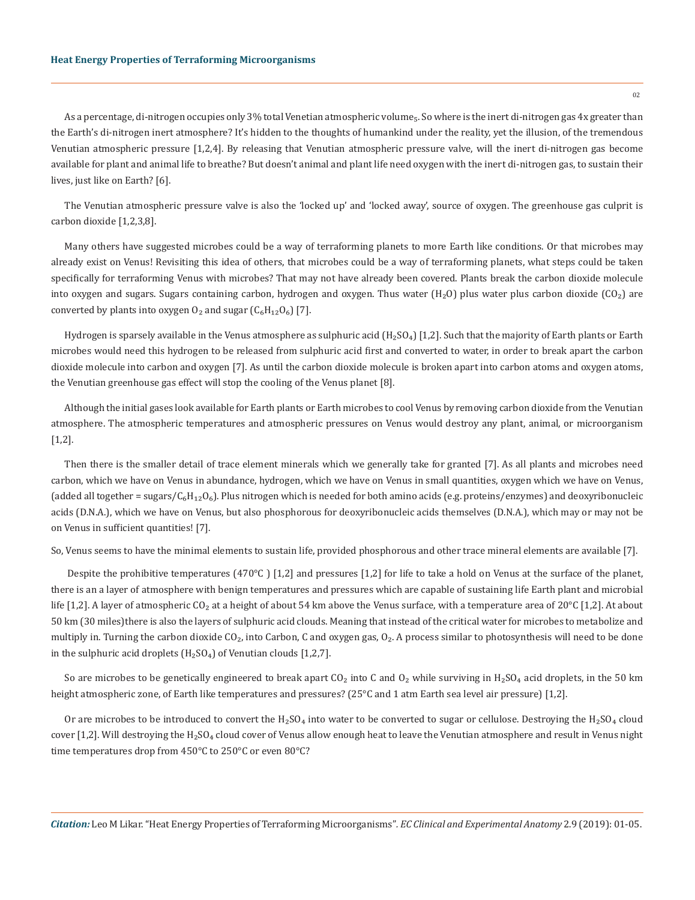#### **Heat Energy Properties of Terraforming Microorganisms**

As a percentage, di-nitrogen occupies only 3% total Venetian atmospheric volume<sub>5</sub>. So where is the inert di-nitrogen gas 4x greater than the Earth's di-nitrogen inert atmosphere? It's hidden to the thoughts of humankind under the reality, yet the illusion, of the tremendous Venutian atmospheric pressure [1,2,4]. By releasing that Venutian atmospheric pressure valve, will the inert di-nitrogen gas become available for plant and animal life to breathe? But doesn't animal and plant life need oxygen with the inert di-nitrogen gas, to sustain their lives, just like on Earth? [6].

The Venutian atmospheric pressure valve is also the 'locked up' and 'locked away', source of oxygen. The greenhouse gas culprit is carbon dioxide [1,2,3,8].

Many others have suggested microbes could be a way of terraforming planets to more Earth like conditions. Or that microbes may already exist on Venus! Revisiting this idea of others, that microbes could be a way of terraforming planets, what steps could be taken specifically for terraforming Venus with microbes? That may not have already been covered. Plants break the carbon dioxide molecule into oxygen and sugars. Sugars containing carbon, hydrogen and oxygen. Thus water  $(H_2O)$  plus water plus carbon dioxide (CO<sub>2</sub>) are converted by plants into oxygen  $O_2$  and sugar  $(C_6H_{12}O_6)$  [7].

Hydrogen is sparsely available in the Venus atmosphere as sulphuric acid  $(H_2SO_4)$  [1,2]. Such that the majority of Earth plants or Earth microbes would need this hydrogen to be released from sulphuric acid first and converted to water, in order to break apart the carbon dioxide molecule into carbon and oxygen [7]. As until the carbon dioxide molecule is broken apart into carbon atoms and oxygen atoms, the Venutian greenhouse gas effect will stop the cooling of the Venus planet [8].

Although the initial gases look available for Earth plants or Earth microbes to cool Venus by removing carbon dioxide from the Venutian atmosphere. The atmospheric temperatures and atmospheric pressures on Venus would destroy any plant, animal, or microorganism [1,2].

Then there is the smaller detail of trace element minerals which we generally take for granted [7]. As all plants and microbes need carbon, which we have on Venus in abundance, hydrogen, which we have on Venus in small quantities, oxygen which we have on Venus, (added all together = sugars/ $C_6H_{12}O_6$ ). Plus nitrogen which is needed for both amino acids (e.g. proteins/enzymes) and deoxyribonucleic acids (D.N.A.), which we have on Venus, but also phosphorous for deoxyribonucleic acids themselves (D.N.A.), which may or may not be on Venus in sufficient quantities! [7].

So, Venus seems to have the minimal elements to sustain life, provided phosphorous and other trace mineral elements are available [7].

 Despite the prohibitive temperatures (470°C ) [1,2] and pressures [1,2] for life to take a hold on Venus at the surface of the planet, there is an a layer of atmosphere with benign temperatures and pressures which are capable of sustaining life Earth plant and microbial life [1,2]. A layer of atmospheric CO<sub>2</sub> at a height of about 54 km above the Venus surface, with a temperature area of 20 $^{\circ}$ C [1,2]. At about 50 km (30 miles)there is also the layers of sulphuric acid clouds. Meaning that instead of the critical water for microbes to metabolize and multiply in. Turning the carbon dioxide CO<sub>2</sub>, into Carbon, C and oxygen gas, O<sub>2</sub>. A process similar to photosynthesis will need to be done in the sulphuric acid droplets  $(H_2SO_4)$  of Venutian clouds [1,2,7].

So are microbes to be genetically engineered to break apart CO<sub>2</sub> into C and O<sub>2</sub> while surviving in H<sub>2</sub>SO<sub>4</sub> acid droplets, in the 50 km height atmospheric zone, of Earth like temperatures and pressures? (25°C and 1 atm Earth sea level air pressure) [1,2].

Or are microbes to be introduced to convert the  $H_2SO_4$  into water to be converted to sugar or cellulose. Destroying the  $H_2SO_4$  cloud cover [1,2]. Will destroying the  $H_2SO_4$  cloud cover of Venus allow enough heat to leave the Venutian atmosphere and result in Venus night time temperatures drop from 450°C to 250°C or even 80°C?

 $02$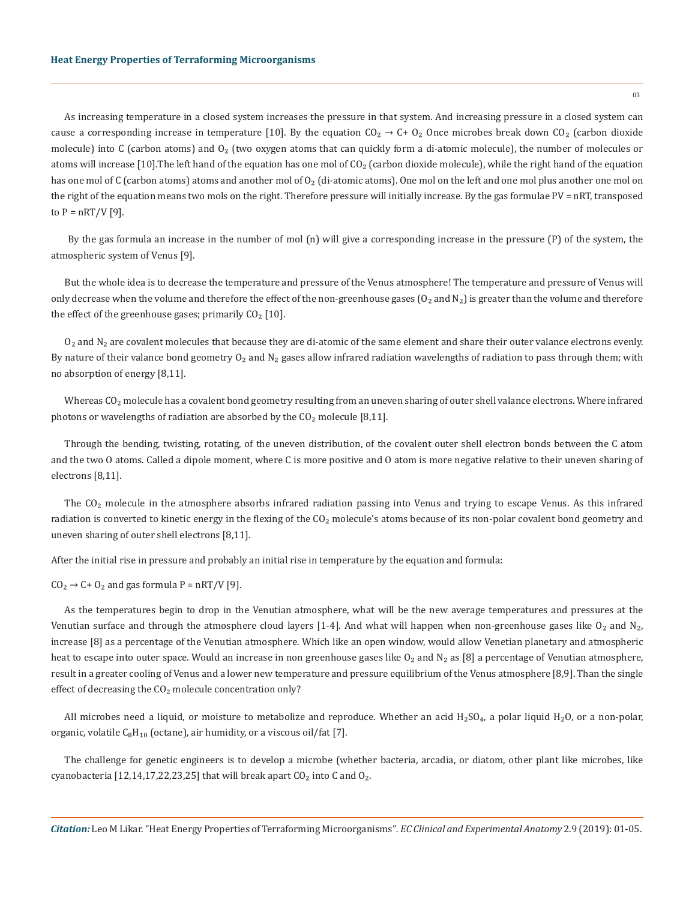As increasing temperature in a closed system increases the pressure in that system. And increasing pressure in a closed system can cause a corresponding increase in temperature [10]. By the equation  $CO_2 \rightarrow C + O_2$  Once microbes break down  $CO_2$  (carbon dioxide molecule) into C (carbon atoms) and  $O<sub>2</sub>$  (two oxygen atoms that can quickly form a di-atomic molecule), the number of molecules or atoms will increase [10]. The left hand of the equation has one mol of  $CO<sub>2</sub>$  (carbon dioxide molecule), while the right hand of the equation has one mol of C (carbon atoms) atoms and another mol of O<sub>2</sub> (di-atomic atoms). One mol on the left and one mol plus another one mol on the right of the equation means two mols on the right. Therefore pressure will initially increase. By the gas formulae PV = nRT, transposed to  $P = nRT/V$  [9].

 By the gas formula an increase in the number of mol (n) will give a corresponding increase in the pressure (P) of the system, the atmospheric system of Venus [9].

But the whole idea is to decrease the temperature and pressure of the Venus atmosphere! The temperature and pressure of Venus will only decrease when the volume and therefore the effect of the non-greenhouse gases  $(O_2$  and  $N_2)$  is greater than the volume and therefore the effect of the greenhouse gases; primarily  $CO<sub>2</sub>$  [10].

 $O<sub>2</sub>$  and N<sub>2</sub> are covalent molecules that because they are di-atomic of the same element and share their outer valance electrons evenly. By nature of their valance bond geometry  $O_2$  and  $N_2$  gases allow infrared radiation wavelengths of radiation to pass through them; with no absorption of energy [8,11].

Whereas  $CO<sub>2</sub>$  molecule has a covalent bond geometry resulting from an uneven sharing of outer shell valance electrons. Where infrared photons or wavelengths of radiation are absorbed by the  $CO<sub>2</sub>$  molecule [8,11].

Through the bending, twisting, rotating, of the uneven distribution, of the covalent outer shell electron bonds between the C atom and the two O atoms. Called a dipole moment, where C is more positive and O atom is more negative relative to their uneven sharing of electrons [8,11].

The CO<sub>2</sub> molecule in the atmosphere absorbs infrared radiation passing into Venus and trying to escape Venus. As this infrared radiation is converted to kinetic energy in the flexing of the CO<sub>2</sub> molecule's atoms because of its non-polar covalent bond geometry and uneven sharing of outer shell electrons [8,11].

After the initial rise in pressure and probably an initial rise in temperature by the equation and formula:

 $CO<sub>2</sub> \rightarrow C + O<sub>2</sub>$  and gas formula P = nRT/V [9].

As the temperatures begin to drop in the Venutian atmosphere, what will be the new average temperatures and pressures at the Venutian surface and through the atmosphere cloud layers [1-4]. And what will happen when non-greenhouse gases like  $O_2$  and N<sub>2</sub>, increase [8] as a percentage of the Venutian atmosphere. Which like an open window, would allow Venetian planetary and atmospheric heat to escape into outer space. Would an increase in non greenhouse gases like  $O_2$  and  $N_2$  as [8] a percentage of Venutian atmosphere, result in a greater cooling of Venus and a lower new temperature and pressure equilibrium of the Venus atmosphere [8,9]. Than the single effect of decreasing the  $CO<sub>2</sub>$  molecule concentration only?

All microbes need a liquid, or moisture to metabolize and reproduce. Whether an acid  $H_2SO_4$ , a polar liquid  $H_2O$ , or a non-polar, organic, volatile  $C_8H_{10}$  (octane), air humidity, or a viscous oil/fat [7].

The challenge for genetic engineers is to develop a microbe (whether bacteria, arcadia, or diatom, other plant like microbes, like cyanobacteria [12,14,17,22,23,25] that will break apart  $CO<sub>2</sub>$  into C and  $O<sub>2</sub>$ .

 $03$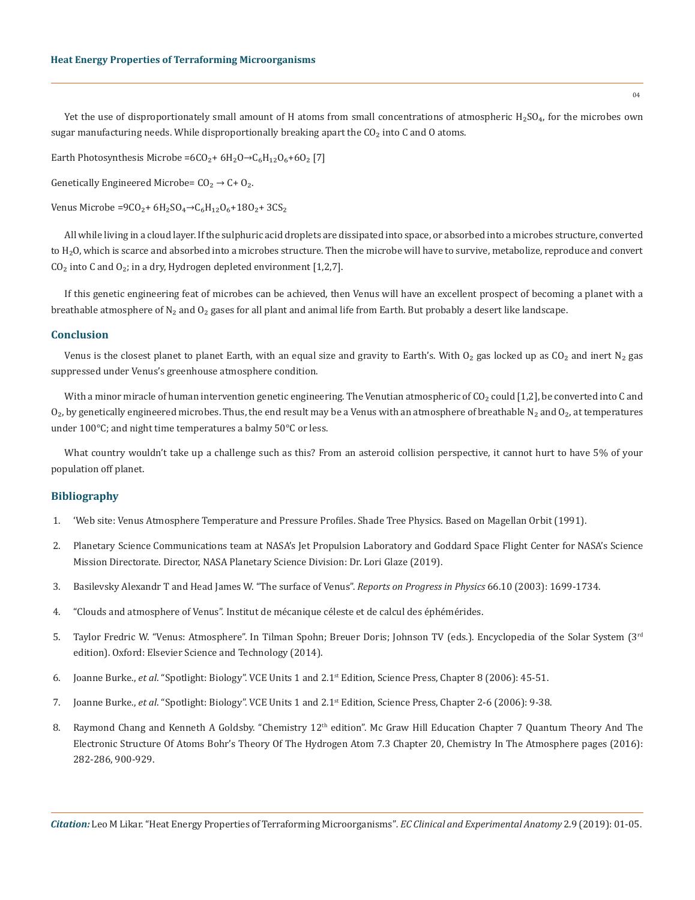Yet the use of disproportionately small amount of H atoms from small concentrations of atmospheric  $H_2SO_4$ , for the microbes own sugar manufacturing needs. While disproportionally breaking apart the  $CO<sub>2</sub>$  into C and O atoms.

Earth Photosynthesis Microbe = $6CO_2 + 6H_2O \rightarrow C_6H_{12}O_6 + 6O_2$  [7]

Genetically Engineered Microbe=  $CO_2 \rightarrow C + O_2$ .

Venus Microbe =9CO<sub>2</sub>+  $6H_2SO_4 \rightarrow C_6H_{12}O_6 + 18O_2 + 3CS_2$ 

All while living in a cloud layer. If the sulphuric acid droplets are dissipated into space, or absorbed into a microbes structure, converted to  $H<sub>2</sub>$ O, which is scarce and absorbed into a microbes structure. Then the microbe will have to survive, metabolize, reproduce and convert  $CO<sub>2</sub>$  into C and  $O<sub>2</sub>$ ; in a dry, Hydrogen depleted environment [1,2,7].

If this genetic engineering feat of microbes can be achieved, then Venus will have an excellent prospect of becoming a planet with a breathable atmosphere of  $N_2$  and  $O_2$  gases for all plant and animal life from Earth. But probably a desert like landscape.

### **Conclusion**

Venus is the closest planet to planet Earth, with an equal size and gravity to Earth's. With  $O_2$  gas locked up as  $CO_2$  and inert N<sub>2</sub> gas suppressed under Venus's greenhouse atmosphere condition.

With a minor miracle of human intervention genetic engineering. The Venutian atmospheric of  $CO<sub>2</sub>$  could [1,2], be converted into C and  $O_2$ , by genetically engineered microbes. Thus, the end result may be a Venus with an atmosphere of breathable N<sub>2</sub> and  $O_2$ , at temperatures under 100°C; and night time temperatures a balmy 50°C or less.

What country wouldn't take up a challenge such as this? From an asteroid collision perspective, it cannot hurt to have 5% of your population off planet.

## **Bibliography**

- 1. ['Web site: Venus Atmosphere Temperature and Pressure Profiles. Shade Tree Physics. Based on Magellan Orbit \(1991\).](https://web.archive.org/web/20180824201719/http:/shadetreephysics.com/vel/1918vpt.htm)
- 2. [Planetary Science Communications team at NASA's Jet Propulsion Laboratory and Goddard Space Flight Center for NASA's Science](https://solarsystem.nasa.gov/planets/venus/in-depth/)  [Mission Directorate. Director, NASA Planetary Science Division: Dr. Lori Glaze \(2019\).](https://solarsystem.nasa.gov/planets/venus/in-depth/)
- 3. [Basilevsky Alexandr T and Head James W. "The surface of Venus".](http://planetary.brown.edu/planetary/documents/2875.pdf) *Reports on Progress in Physics* 66.10 (2003): 1699-1734.
- 4. "Clouds and atmosphere of Venus". Institut de mécanique céleste et de calcul des éphémérides.
- 5. Taylor Fredric W. "Venus: Atmosphere". In Tilman Spohn; Breuer Doris; Johnson TV (eds.). Encyclopedia of the Solar System (3rd edition). Oxford: Elsevier Science and Technology (2014).
- 6. Joanne Burke., *et al*. "Spotlight: Biology". VCE Units 1 and 2.1st Edition, Science Press, Chapter 8 (2006): 45-51.
- 7. Joanne Burke., *et al*. "Spotlight: Biology". VCE Units 1 and 2.1st Edition, Science Press, Chapter 2-6 (2006): 9-38.
- 8. Raymond Chang and Kenneth A Goldsby. "Chemistry 12<sup>th</sup> edition". Mc Graw Hill Education Chapter 7 Quantum Theory And The Electronic Structure Of Atoms Bohr's Theory Of The Hydrogen Atom 7.3 Chapter 20, Chemistry In The Atmosphere pages (2016): 282-286, 900-929.

*Citation:* Leo M Likar. "Heat Energy Properties of Terraforming Microorganisms"*. EC Clinical and Experimental Anatomy* 2.9 (2019): 01-05.